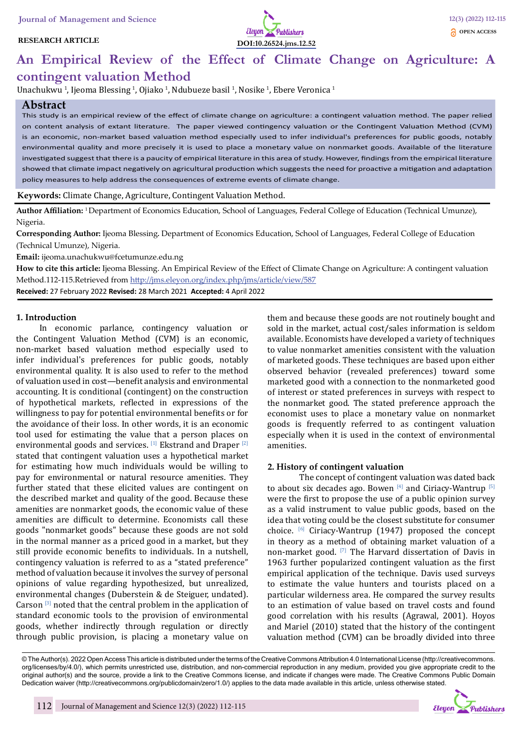#### **RESEARCH ARTICLE**



# **An Empirical Review of the Effect of Climate Change on Agriculture: A contingent valuation Method**

Unachukwu <sup>1</sup>, Ijeoma Blessing <sup>1</sup>, Ojiako <sup>1</sup>, Ndubueze basil <sup>1</sup>, Nosike <sup>1</sup>, Ebere Veronica <sup>1</sup>

# **Abstract**

This study is an empirical review of the effect of climate change on agriculture: a contingent valuation method. The paper relied on content analysis of extant literature. The paper viewed contingency valuation or the Contingent Valuation Method (CVM) is an economic, non-market based valuation method especially used to infer individual's preferences for public goods, notably environmental quality and more precisely it is used to place a monetary value on nonmarket goods. Available of the literature investigated suggest that there is a paucity of empirical literature in this area of study. However, findings from the empirical literature showed that climate impact negatively on agricultural production which suggests the need for proactive a mitigation and adaptation policy measures to help address the consequences of extreme events of climate change.

**Keywords:** Climate Change, Agriculture, Contingent Valuation Method.

**Author Affiliation:** 1 Department of Economics Education, School of Languages, Federal College of Education (Technical Umunze), Nigeria.

**Corresponding Author:** Ijeoma Blessing. Department of Economics Education, School of Languages, Federal College of Education (Technical Umunze), Nigeria.

**Email:** ijeoma.unachukwu@fcetumunze.edu.ng

**How to cite this article:** Ijeoma Blessing. An Empirical Review of the Effect of Climate Change on Agriculture: A contingent valuation Method.112-115.Retrieved from http://jms.eleyon.org/index.php/jms/article/view/587

**Received:** 27 February 2022 **Revised:** 28 March 2021 **Accepted:** 4 April 2022

#### **1. Introduction**

In economic parlance, contingency valuation or the Contingent Valuation Method (CVM) is an economic, non-market based valuation method especially used to infer individual's preferences for public goods, notably environmental quality. It is also used to refer to the method of valuation used in cost—benefit analysis and environmental accounting. It is conditional (contingent) on the construction of hypothetical markets, reflected in expressions of the willingness to pay for potential environmental benefits or for the avoidance of their loss. In other words, it is an economic tool used for estimating the value that a person places on environmental goods and services. [1] Ekstrand and Draper [2] stated that contingent valuation uses a hypothetical market for estimating how much individuals would be willing to pay for environmental or natural resource amenities. They further stated that these elicited values are contingent on the described market and quality of the good. Because these amenities are nonmarket goods, the economic value of these amenities are difficult to determine. Economists call these goods "nonmarket goods" because these goods are not sold in the normal manner as a priced good in a market, but they still provide economic benefits to individuals. In a nutshell, contingency valuation is referred to as a "stated preference" method of valuation because it involves the survey of personal opinions of value regarding hypothesized, but unrealized, environmental changes (Duberstein & de Steiguer, undated). Carson  $[3]$  noted that the central problem in the application of standard economic tools to the provision of environmental goods, whether indirectly through regulation or directly through public provision, is placing a monetary value on them and because these goods are not routinely bought and sold in the market, actual cost/sales information is seldom available. Economists have developed a variety of techniques to value nonmarket amenities consistent with the valuation of marketed goods. These techniques are based upon either observed behavior (revealed preferences) toward some marketed good with a connection to the nonmarketed good of interest or stated preferences in surveys with respect to the nonmarket good. The stated preference approach the economist uses to place a monetary value on nonmarket goods is frequently referred to as contingent valuation especially when it is used in the context of environmental amenities.

#### **2. History of contingent valuation**

The concept of contingent valuation was dated back to about six decades ago. Bowen  $[4]$  and Ciriacy-Wantrup  $[5]$ were the first to propose the use of a public opinion survey as a valid instrument to value public goods, based on the idea that voting could be the closest substitute for consumer choice.  $[6]$  Ciriacy-Wantrup (1947) proposed the concept in theory as a method of obtaining market valuation of a non-market good. [7] The Harvard dissertation of Davis in 1963 further popularized contingent valuation as the first empirical application of the technique. Davis used surveys to estimate the value hunters and tourists placed on a particular wilderness area. He compared the survey results to an estimation of value based on travel costs and found good correlation with his results (Agrawal, 2001). Hoyos and Mariel (2010) stated that the history of the contingent valuation method (CVM) can be broadly divided into three

<sup>©</sup> The Author(s). 2022 Open Access This article is distributed under the terms of the Creative Commons Attribution 4.0 International License (http://creativecommons. org/licenses/by/4.0/), which permits unrestricted use, distribution, and non-commercial reproduction in any medium, provided you give appropriate credit to the original author(s) and the source, provide a link to the Creative Commons license, and indicate if changes were made. The Creative Commons Public Domain Dedication waiver (http://creativecommons.org/publicdomain/zero/1.0/) applies to the data made available in this article, unless otherwise stated.

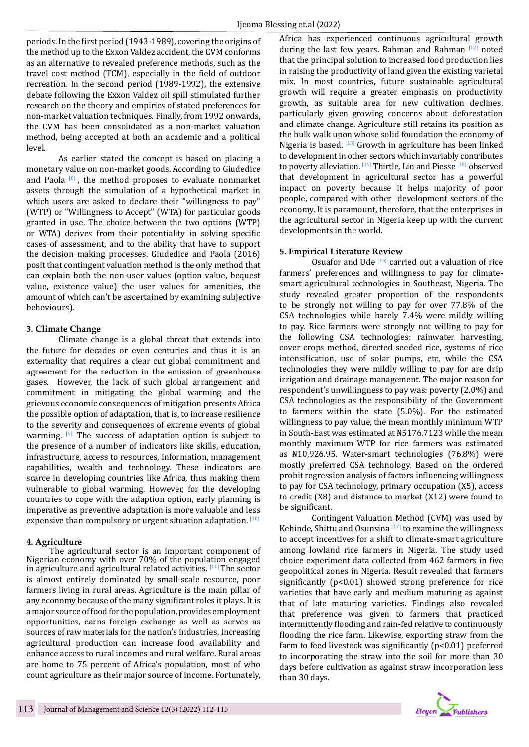periods. In the first period (1943-1989), covering the origins of the method up to the Exxon Valdez accident, the CVM conforms as an alternative to revealed preference methods, such as the travel cost method (TCM), especially in the field of outdoor recreation. In the second period (1989-1992), the extensive debate following the Exxon Valdez oil spill stimulated further research on the theory and empirics of stated preferences for non-market valuation techniques. Finally, from 1992 onwards, the CVM has been consolidated as a non-market valuation method, being accepted at both an academic and a political level.

As earlier stated the concept is based on placing a monetary value on non-market goods. According to Giudedice and Paola  $[8]$ , the method proposes to evaluate nonmarket assets through the simulation of a hypothetical market in which users are asked to declare their "willingness to pay" (WTP) or "Willingness to Accept" (WTA) for particular goods granted in use. The choice between the two options (WTP) or WTA) derives from their potentiality in solving specific cases of assessment, and to the ability that have to support the decision making processes. Giudedice and Paola (2016) posit that contingent valuation method is the only method that can explain both the non-user values (option value, bequest value, existence value) the user values for amenities, the amount of which can't be ascertained by examining subjective behoviours).

#### **3. Climate Change**

Climate change is a global threat that extends into the future for decades or even centuries and thus it is an externality that requires a clear cut global commitment and agreement for the reduction in the emission of greenhouse gases. However, the lack of such global arrangement and commitment in mitigating the global warming and the grievous economic consequences of mitigation presents Africa the possible option of adaptation, that is, to increase resilience to the severity and consequences of extreme events of global warming.  $[9]$  The success of adaptation option is subject to the presence of a number of indicators like skills, education, infrastructure, access to resources, information, management capabilities, wealth and technology. These indicators are scarce in developing countries like Africa, thus making them vulnerable to global warming. However, for the developing countries to cope with the adaption option, early planning is imperative as preventive adaptation is more valuable and less expensive than compulsory or urgent situation adaptation. [10]

# **4. Agriculture**

The agricultural sector is an important component of Nigerian economy with over 70% of the population engaged in agriculture and agricultural related activities. [11] The sector is almost entirely dominated by small-scale resource, poor farmers living in rural areas. Agriculture is the main pillar of any economy because of the many significant roles it plays. It is a major source of food for the population, provides employment opportunities, earns foreign exchange as well as serves as sources of raw materials for the nation's industries. Increasing agricultural production can increase food availability and enhance access to rural incomes and rural welfare. Rural areas are home to 75 percent of Africa's population, most of who count agriculture as their major source of income. Fortunately,

Africa has experienced continuous agricultural growth during the last few years. Rahman and Rahman  $[12]$  noted that the principal solution to increased food production lies in raising the productivity of land given the existing varietal mix. In most countries, future sustainable agricultural growth will require a greater emphasis on productivity growth, as suitable area for new cultivation declines, particularly given growing concerns about deforestation and climate change. Agriculture still retains its position as the bulk walk upon whose solid foundation the economy of Nigeria is based. <a>[13]</a> Growth in agriculture has been linked to development in other sectors which invariably contributes to poverty alleviation. [14] Thirtle, Lin and Piesse [15] observed that development in agricultural sector has a powerful impact on poverty because it helps majority of poor people, compared with other development sectors of the economy. It is paramount, therefore, that the enterprises in the agricultural sector in Nigeria keep up with the current developments in the world.

# **5. Empirical Literature Review**

Osuafor and Ude  $[16]$  carried out a valuation of rice farmers' preferences and willingness to pay for climatesmart agricultural technologies in Southeast, Nigeria. The study revealed greater proportion of the respondents to be strongly not willing to pay for over 77.8% of the CSA technologies while barely 7.4% were mildly willing to pay. Rice farmers were strongly not willing to pay for the following CSA technologies: rainwater harvesting, cover crops method, directed seeded rice, systems of rice intensification, use of solar pumps, etc, while the CSA technologies they were mildly willing to pay for are drip irrigation and drainage management. The major reason for respondent's unwillingness to pay was: poverty (2.0%) and CSA technologies as the responsibility of the Government to farmers within the state (5.0%). For the estimated willingness to pay value, the mean monthly minimum WTP in South-East was estimated at ₦5176.7123 while the mean monthly maximum WTP for rice farmers was estimated as ₦10,926.95. Water-smart technologies (76.8%) were mostly preferred CSA technology. Based on the ordered probit regression analysis of factors influencing willingness to pay for CSA technology, primary occupation (X5), access to credit (X8) and distance to market (X12) were found to be significant.

Contingent Valuation Method (CVM) was used by Kehinde, Shittu and Osunsina<sup>[17]</sup> to examine the willingness to accept incentives for a shift to climate-smart agriculture among lowland rice farmers in Nigeria. The study used choice experiment data collected from 462 farmers in five geopolitical zones in Nigeria. Result revealed that farmers significantly (p<0.01) showed strong preference for rice varieties that have early and medium maturing as against that of late maturing varieties. Findings also revealed that preference was given to farmers that practiced intermittently flooding and rain-fed relative to continuously flooding the rice farm. Likewise, exporting straw from the farm to feed livestock was significantly (p<0.01) preferred to incorporating the straw into the soil for more than 30 days before cultivation as against straw incorporation less than 30 days.

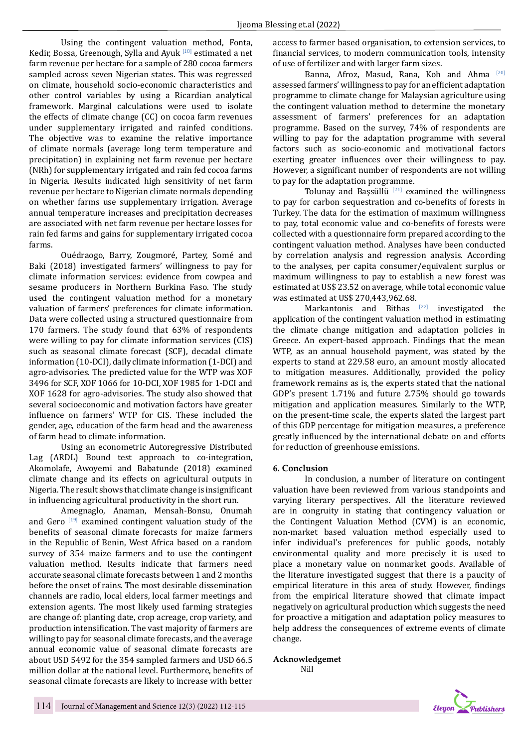Using the contingent valuation method, Fonta, Kedir, Bossa, Greenough, Sylla and Ayuk <a>[18]</a> estimated a net farm revenue per hectare for a sample of 280 cocoa farmers sampled across seven Nigerian states. This was regressed on climate, household socio-economic characteristics and other control variables by using a Ricardian analytical framework. Marginal calculations were used to isolate the effects of climate change (CC) on cocoa farm revenues under supplementary irrigated and rainfed conditions. The objective was to examine the relative importance of climate normals (average long term temperature and precipitation) in explaining net farm revenue per hectare (NRh) for supplementary irrigated and rain fed cocoa farms in Nigeria. Results indicated high sensitivity of net farm revenue per hectare to Nigerian climate normals depending on whether farms use supplementary irrigation. Average annual temperature increases and precipitation decreases are associated with net farm revenue per hectare losses for rain fed farms and gains for supplementary irrigated cocoa farms.

Ouédraogo, Barry, Zougmoré, Partey, Somé and Baki (2018) investigated farmers' willingness to pay for climate information services: evidence from cowpea and sesame producers in Northern Burkina Faso. The study used the contingent valuation method for a monetary valuation of farmers' preferences for climate information. Data were collected using a structured questionnaire from 170 farmers. The study found that 63% of respondents were willing to pay for climate information services (CIS) such as seasonal climate forecast (SCF), decadal climate information (10-DCI), daily climate information (1-DCI) and agro-advisories. The predicted value for the WTP was XOF 3496 for SCF, XOF 1066 for 10-DCI, XOF 1985 for 1-DCI and XOF 1628 for agro-advisories. The study also showed that several socioeconomic and motivation factors have greater influence on farmers' WTP for CIS. These included the gender, age, education of the farm head and the awareness of farm head to climate information.

Using an econometric Autoregressive Distributed Lag (ARDL) Bound test approach to co-integration, Akomolafe, Awoyemi and Babatunde (2018) examined climate change and its effects on agricultural outputs in Nigeria. The result shows that climate change is insignificant in influencing agricultural productivity in the short run.

Amegnaglo, Anaman, Mensah-Bonsu, Onumah and Gero  $[19]$  examined contingent valuation study of the benefits of seasonal climate forecasts for maize farmers in the Republic of Benin, West Africa based on a random survey of 354 maize farmers and to use the contingent valuation method. Results indicate that farmers need accurate seasonal climate forecasts between 1 and 2 months before the onset of rains. The most desirable dissemination channels are radio, local elders, local farmer meetings and extension agents. The most likely used farming strategies are change of: planting date, crop acreage, crop variety, and production intensification. The vast majority of farmers are willing to pay for seasonal climate forecasts, and the average annual economic value of seasonal climate forecasts are about USD 5492 for the 354 sampled farmers and USD 66.5 million dollar at the national level. Furthermore, benefits of seasonal climate forecasts are likely to increase with better

access to farmer based organisation, to extension services, to financial services, to modern communication tools, intensity of use of fertilizer and with larger farm sizes.

Banna, Afroz, Masud, Rana, Koh and Ahma <sup>[20]</sup> assessed farmers' willingness to pay for an efficient adaptation programme to climate change for Malaysian agriculture using the contingent valuation method to determine the monetary assessment of farmers' preferences for an adaptation programme. Based on the survey, 74% of respondents are willing to pay for the adaptation programme with several factors such as socio-economic and motivational factors exerting greater influences over their willingness to pay. However, a significant number of respondents are not willing to pay for the adaptation programme.

Tolunay and Bassüllü  $[21]$  examined the willingness to pay for carbon sequestration and co-benefits of forests in Turkey. The data for the estimation of maximum willingness to pay, total economic value and co-benefits of forests were collected with a questionnaire form prepared according to the contingent valuation method. Analyses have been conducted by correlation analysis and regression analysis. According to the analyses, per capita consumer/equivalent surplus or maximum willingness to pay to establish a new forest was estimated at US\$ 23.52 on average, while total economic value was estimated at US\$ 270,443,962.68.

Markantonis and Bithas  $[22]$  investigated the application of the contingent valuation method in estimating the climate change mitigation and adaptation policies in Greece. An expert-based approach. Findings that the mean WTP, as an annual household payment, was stated by the experts to stand at 229.58 euro, an amount mostly allocated to mitigation measures. Additionally, provided the policy framework remains as is, the experts stated that the national GDP's present 1.71% and future 2.75% should go towards mitigation and application measures. Similarly to the WTP, on the present-time scale, the experts slated the largest part of this GDP percentage for mitigation measures, a preference greatly influenced by the international debate on and efforts for reduction of greenhouse emissions.

# **6. Conclusion**

In conclusion, a number of literature on contingent valuation have been reviewed from various standpoints and varying literary perspectives. All the literature reviewed are in congruity in stating that contingency valuation or the Contingent Valuation Method (CVM) is an economic, non-market based valuation method especially used to infer individual's preferences for public goods, notably environmental quality and more precisely it is used to place a monetary value on nonmarket goods. Available of the literature investigated suggest that there is a paucity of empirical literature in this area of study. However, findings from the empirical literature showed that climate impact negatively on agricultural production which suggests the need for proactive a mitigation and adaptation policy measures to help address the consequences of extreme events of climate change.

**Acknowledgemet** Nill